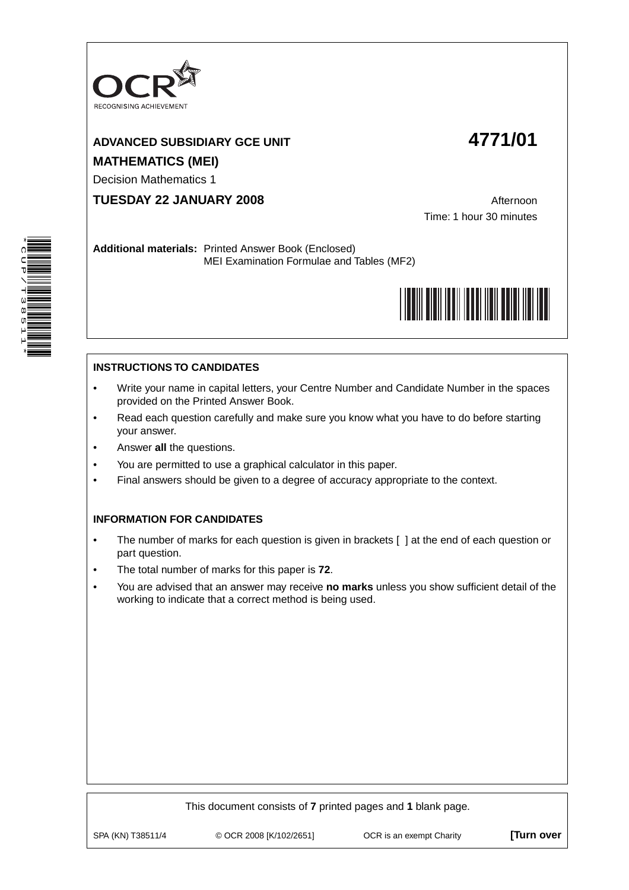

# ADVANCED SUBSIDIARY GCE UNIT **4771/01 MATHEMATICS (MEI)**

Decision Mathematics 1

**TUESDAY 22 JANUARY 2008** Afternoon

Time: 1 hour 30 minutes

**Additional materials:** Printed Answer Book (Enclosed) MEI Examination Formulae and Tables (MF2)



### **INSTRUCTIONS TO CANDIDATES**

- Write your name in capital letters, your Centre Number and Candidate Number in the spaces provided on the Printed Answer Book.
- Read each question carefully and make sure you know what you have to do before starting your answer.
- Answer **all** the questions.
- You are permitted to use a graphical calculator in this paper.
- Final answers should be given to a degree of accuracy appropriate to the context.

## **INFORMATION FOR CANDIDATES**

- The number of marks for each question is given in brackets [] at the end of each question or part question.
- The total number of marks for this paper is **72**.
- You are advised that an answer may receive **no marks** unless you show sufficient detail of the working to indicate that a correct method is being used.

| This document consists of 7 printed pages and 1 blank page. |                         |                          |                  |  |  |
|-------------------------------------------------------------|-------------------------|--------------------------|------------------|--|--|
| SPA (KN) T38511/4                                           | © OCR 2008 [K/102/2651] | OCR is an exempt Charity | <b>Turn over</b> |  |  |

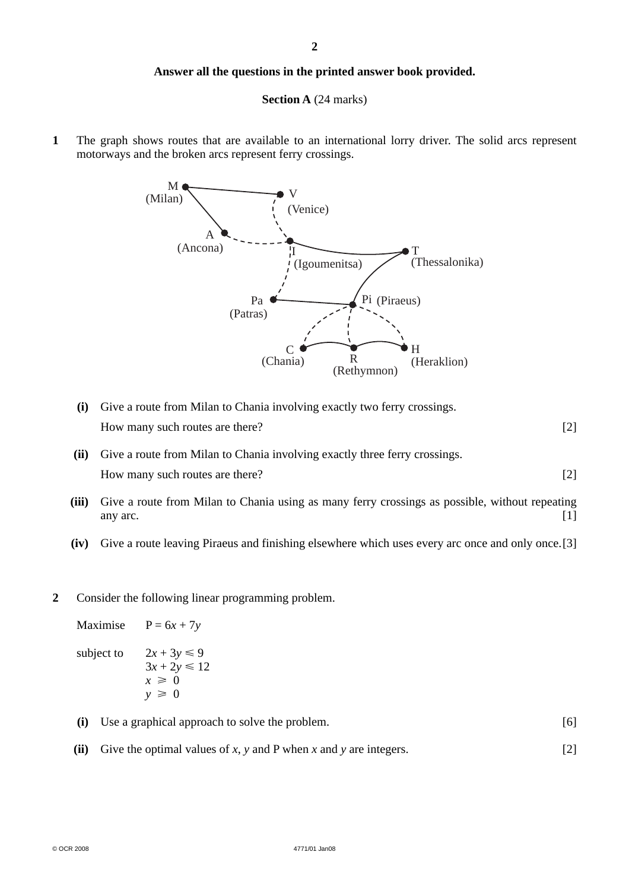#### **2**

#### **Answer all the questions in the printed answer book provided.**

#### **Section A** (24 marks)

**1** The graph shows routes that are available to an international lorry driver. The solid arcs represent motorways and the broken arcs represent ferry crossings.



- **(i)** Give a route from Milan to Chania involving exactly two ferry crossings. **How many such routes are there?** [2]
- **(ii)** Give a route from Milan to Chania involving exactly three ferry crossings.  **How many such routes are there?** [2]
- **(iii)** Give a route from Milan to Chania using as many ferry crossings as possible, without repeating any arc.  $[1]$
- **(iv)** Give a route leaving Piraeus and finishing elsewhere which uses every arc once and only once. [3]
- **2** Consider the following linear programming problem.

Maximise 
$$
P = 6x + 7y
$$
  
\nsubject to  $2x + 3y \le 9$   
\n $3x + 2y \le 12$   
\n $x \ge 0$   
\n $y \ge 0$   
\n(i) Use a graphical approach to solve the problem. [6]

**(ii)** Give the optimal values of *x*, *y* and P when *x* and *y* are integers. [2]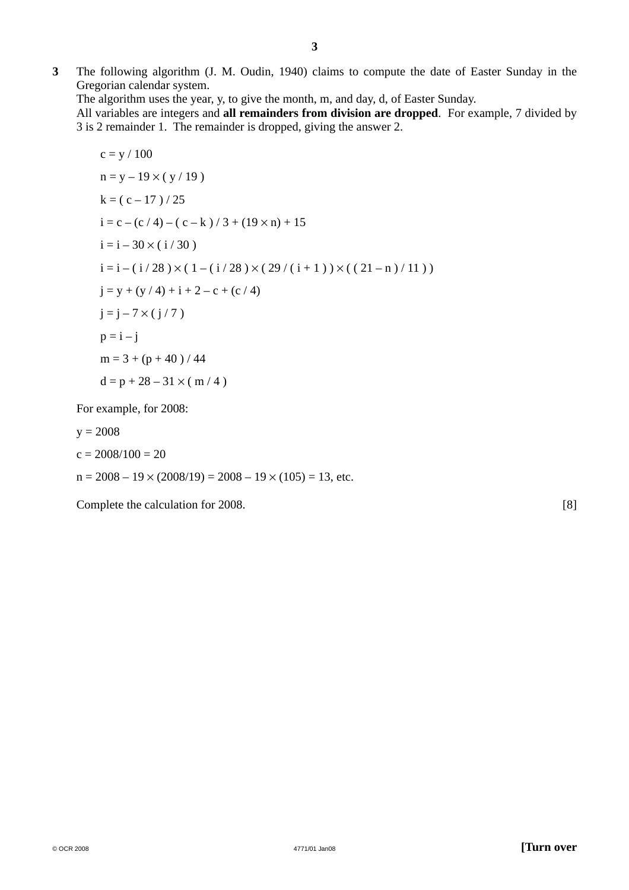**3** The following algorithm (J. M. Oudin, 1940) claims to compute the date of Easter Sunday in the Gregorian calendar system.

The algorithm uses the year, y, to give the month, m, and day, d, of Easter Sunday.

 All variables are integers and **all remainders from division are dropped**. For example, 7 divided by 3 is 2 remainder 1. The remainder is dropped, giving the answer 2.

$$
c = y / 100
$$
  
\n
$$
n = y - 19 \times (y / 19)
$$
  
\n
$$
k = (c - 17) / 25
$$
  
\n
$$
i = c - (c / 4) - (c - k) / 3 + (19 \times n) + 15
$$
  
\n
$$
i = i - 30 \times (i / 30)
$$
  
\n
$$
i = i - (i / 28) \times (1 - (i / 28) \times (29 / (i + 1)) \times ((21 - n) / 11))
$$
  
\n
$$
j = y + (y / 4) + i + 2 - c + (c / 4)
$$
  
\n
$$
j = j - 7 \times (j / 7)
$$
  
\n
$$
p = i - j
$$
  
\n
$$
m = 3 + (p + 40) / 44
$$
  
\n
$$
d = p + 28 - 31 \times (m / 4)
$$

For example, for 2008:

 $y = 2008$  $c = 2008/100 = 20$  $n = 2008 - 19 \times (2008/19) = 2008 - 19 \times (105) = 13$ , etc.

Complete the calculation for 2008. [8]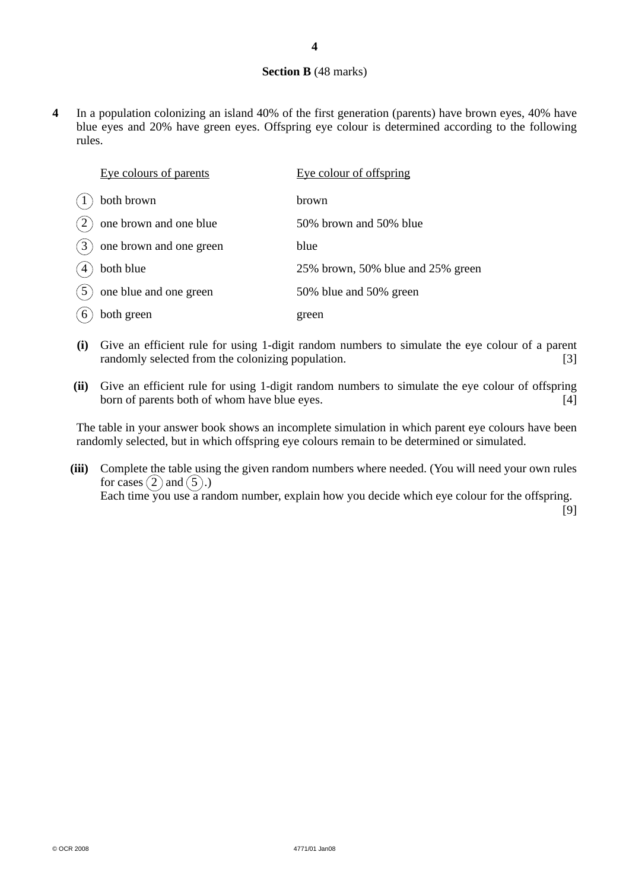#### **Section B** (48 marks)

**4** In a population colonizing an island 40% of the first generation (parents) have brown eyes, 40% have blue eyes and 20% have green eyes. Offspring eye colour is determined according to the following rules.

|                | Eye colours of parents  | Eye colour of offspring           |
|----------------|-------------------------|-----------------------------------|
|                | both brown              | brown                             |
|                | one brown and one blue  | 50% brown and 50% blue            |
| $\mathfrak{Z}$ | one brown and one green | blue                              |
|                | both blue               | 25% brown, 50% blue and 25% green |
|                | one blue and one green  | 50% blue and 50% green            |
| $\sigma$       | both green              | green                             |

- **(i)** Give an efficient rule for using 1-digit random numbers to simulate the eye colour of a parent randomly selected from the colonizing population. [3]
- **(ii)** Give an efficient rule for using 1-digit random numbers to simulate the eye colour of offspring born of parents both of whom have blue eyes. [4]

 The table in your answer book shows an incomplete simulation in which parent eye colours have been randomly selected, but in which offspring eye colours remain to be determined or simulated.

 **(iii)** Complete the table using the given random numbers where needed. (You will need your own rules for cases  $(2)$  and  $(5)$ .) Each time you use a random number, explain how you decide which eye colour for the offspring.

[9]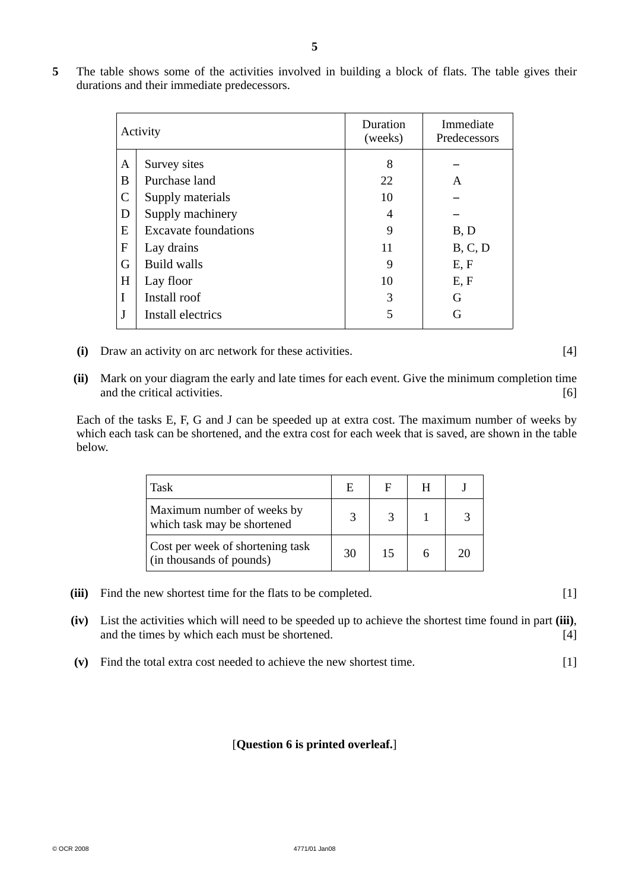**5** The table shows some of the activities involved in building a block of flats. The table gives their durations and their immediate predecessors.

| Activity     |                             | Duration<br>(weeks) | Immediate<br>Predecessors |  |
|--------------|-----------------------------|---------------------|---------------------------|--|
| A            | Survey sites                | 8                   |                           |  |
| B            | Purchase land               | 22                  | A                         |  |
| $\mathsf{C}$ | Supply materials            | 10                  |                           |  |
| D            | Supply machinery            | 4                   |                           |  |
| E            | <b>Excavate foundations</b> | 9                   | B, D                      |  |
| $\mathbf F$  | Lay drains                  | 11                  | B, C, D                   |  |
| G            | <b>Build walls</b>          | 9                   | E, F                      |  |
| H            | Lay floor                   | 10                  | E, F                      |  |
| I            | Install roof                | 3                   | G                         |  |
| J            | Install electrics           | 5                   | G                         |  |
|              |                             |                     |                           |  |

- **(i)** Draw an activity on arc network for these activities. [4]
- **(ii)** Mark on your diagram the early and late times for each event. Give the minimum completion time and the critical activities. [6]

 Each of the tasks E, F, G and J can be speeded up at extra cost. The maximum number of weeks by which each task can be shortened, and the extra cost for each week that is saved, are shown in the table below.

| <b>Task</b>                                                  | E  | F  |    |
|--------------------------------------------------------------|----|----|----|
| Maximum number of weeks by<br>which task may be shortened    |    |    |    |
| Cost per week of shortening task<br>(in thousands of pounds) | 30 | 15 | 20 |

- **(iii)** Find the new shortest time for the flats to be completed. [1]
- **(iv)** List the activities which will need to be speeded up to achieve the shortest time found in part **(iii)**, and the times by which each must be shortened. [4]
- **(v)** Find the total extra cost needed to achieve the new shortest time. [1]

## [**Question 6 is printed overleaf.**]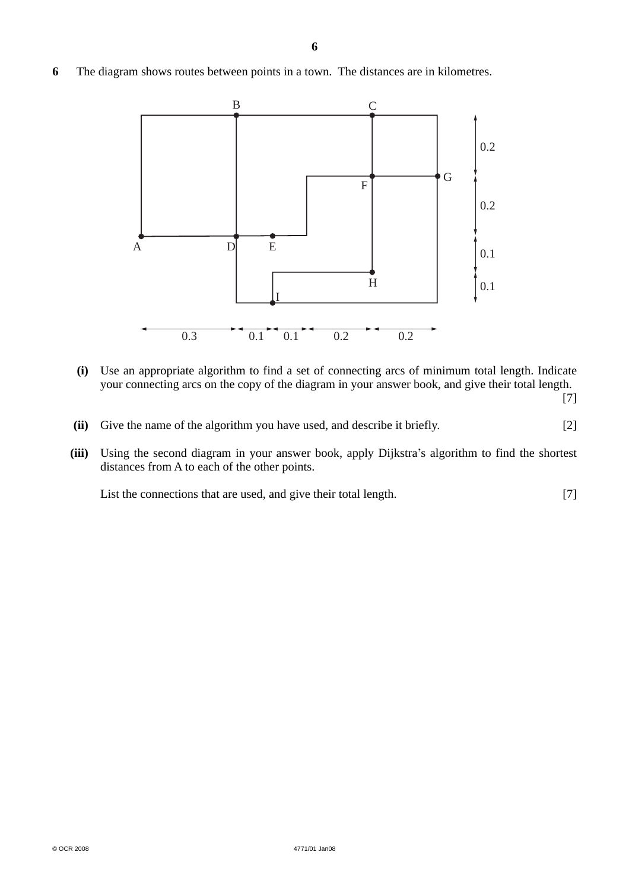**6** The diagram shows routes between points in a town. The distances are in kilometres.



 **(i)** Use an appropriate algorithm to find a set of connecting arcs of minimum total length. Indicate your connecting arcs on the copy of the diagram in your answer book, and give their total length.

[7]

- **(ii)** Give the name of the algorithm you have used, and describe it briefly. [2]
- **(iii)** Using the second diagram in your answer book, apply Dijkstra's algorithm to find the shortest distances from A to each of the other points.

List the connections that are used, and give their total length. [7]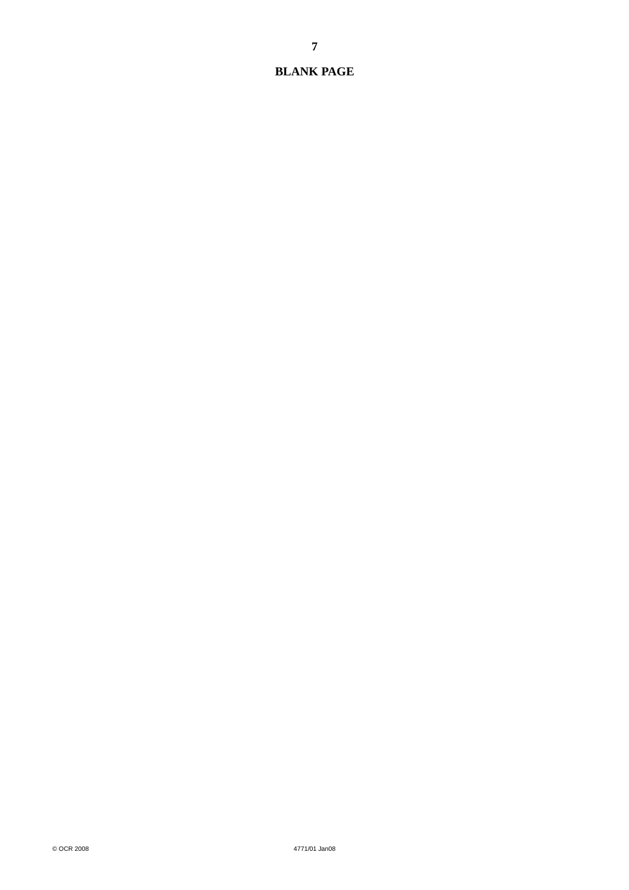## **BLANK PAGE**